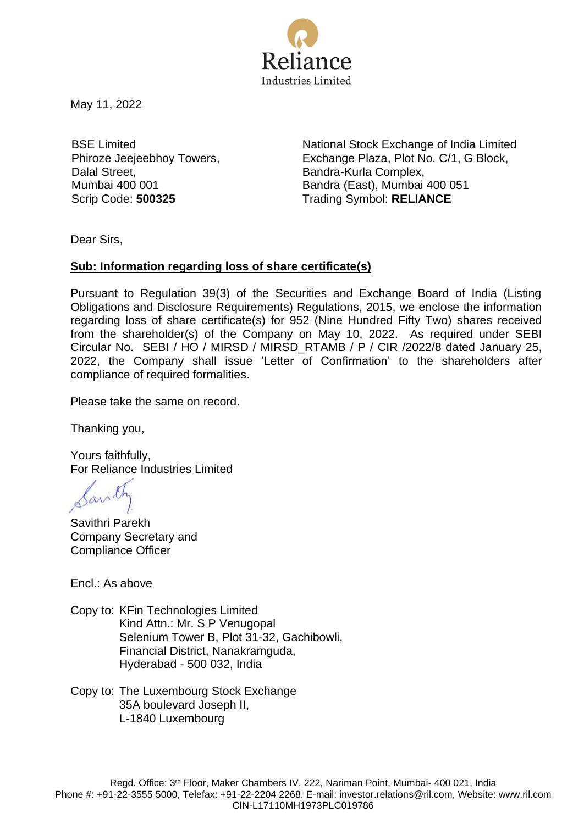

May 11, 2022

BSE Limited Phiroze Jeejeebhoy Towers, Dalal Street, Mumbai 400 001

National Stock Exchange of India Limited Exchange Plaza, Plot No. C/1, G Block, Bandra-Kurla Complex, Bandra (East), Mumbai 400 051 Scrip Code: **500325** Trading Symbol: **RELIANCE**

Dear Sirs,

## **Sub: Information regarding loss of share certificate(s)**

Pursuant to Regulation 39(3) of the Securities and Exchange Board of India (Listing Obligations and Disclosure Requirements) Regulations, 2015, we enclose the information regarding loss of share certificate(s) for 952 (Nine Hundred Fifty Two) shares received from the shareholder(s) of the Company on May 10, 2022. As required under SEBI Circular No. SEBI / HO / MIRSD / MIRSD\_RTAMB / P / CIR /2022/8 dated January 25, 2022, the Company shall issue 'Letter of Confirmation' to the shareholders after compliance of required formalities.

Please take the same on record.

Thanking you,

Yours faithfully, For Reliance Industries Limited

Savithri Parekh Company Secretary and Compliance Officer

Encl.: As above

Copy to: KFin Technologies Limited Kind Attn.: Mr. S P Venugopal Selenium Tower B, Plot 31-32, Gachibowli, Financial District, Nanakramguda, Hyderabad - 500 032, India

Copy to: The Luxembourg Stock Exchange 35A boulevard Joseph II, L-1840 Luxembourg